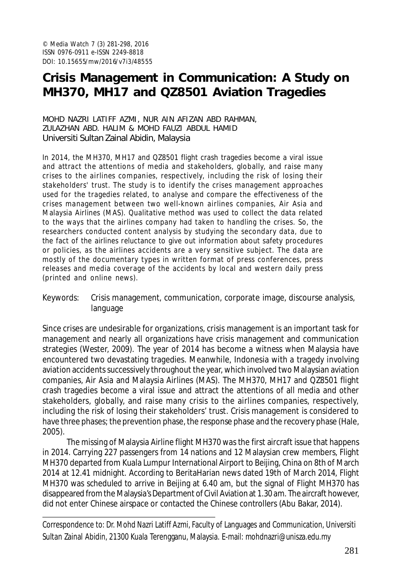# **Crisis Management in Communication: A Study on MH370, MH17 and QZ8501 Aviation Tragedies**

#### MOHD NAZRI LATIFF AZMI, NUR AIN AFIZAN ABD RAHMAN, ZULAZHAN ABD. HALIM & MOHD FAUZI ABDUL HAMID Universiti Sultan Zainal Abidin, Malaysia

In 2014, the MH370, MH17 and QZ8501 flight crash tragedies become a viral issue and attract the attentions of media and stakeholders, globally, and raise many crises to the airlines companies, respectively, including the risk of losing their stakeholders' trust. The study is to identify the crises management approaches used for the tragedies related, to analyse and compare the effectiveness of the crises management between two well-known airlines companies, Air Asia and Malaysia Airlines (MAS). Qualitative method was used to collect the data related to the ways that the airlines company had taken to handling the crises. So, the researchers conducted content analysis by studying the secondary data, due to the fact of the airlines reluctance to give out information about safety procedures or policies, as the airlines accidents are a very sensitive subject. The data are mostly of the documentary types in written format of press conferences, press releases and media coverage of the accidents by local and western daily press (printed and online news).

Keywords: Crisis management, communication, corporate image, discourse analysis, language

Since crises are undesirable for organizations, crisis management is an important task for management and nearly all organizations have crisis management and communication strategies (Wester, 2009). The year of 2014 has become a witness when Malaysia have encountered two devastating tragedies. Meanwhile, Indonesia with a tragedy involving aviation accidents successively throughout the year, which involved two Malaysian aviation companies, Air Asia and Malaysia Airlines (MAS). The MH370, MH17 and QZ8501 flight crash tragedies become a viral issue and attract the attentions of all media and other stakeholders, globally, and raise many crisis to the airlines companies, respectively, including the risk of losing their stakeholders' trust. Crisis management is considered to have three phases; the prevention phase, the response phase and the recovery phase (Hale, 2005).

The missing of Malaysia Airline flight MH370 was the first aircraft issue that happens in 2014. Carrying 227 passengers from 14 nations and 12 Malaysian crew members, Flight MH370 departed from Kuala Lumpur International Airport to Beijing, China on 8th of March 2014 at 12.41 midnight. According to BeritaHarian news dated 19th of March 2014, Flight MH370 was scheduled to arrive in Beijing at 6.40 am, but the signal of Flight MH370 has disappeared from the Malaysia's Department of Civil Aviation at 1.30 am. The aircraft however, did not enter Chinese airspace or contacted the Chinese controllers (Abu Bakar, 2014).

Correspondence to: Dr. Mohd Nazri Latiff Azmi, Faculty of Languages and Communication, Universiti Sultan Zainal Abidin, 21300 Kuala Terengganu, Malaysia. E-mail: mohdnazri@unisza.edu.my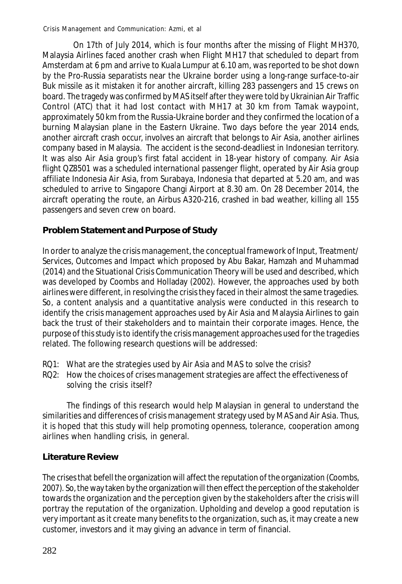On 17th of July 2014, which is four months after the missing of Flight MH370, Malaysia Airlines faced another crash when Flight MH17 that scheduled to depart from Amsterdam at 6 pm and arrive to Kuala Lumpur at 6.10 am, was reported to be shot down by the Pro-Russia separatists near the Ukraine border using a long-range surface-to-air Buk missile as it mistaken it for another aircraft, killing 283 passengers and 15 crews on board. The tragedy was confirmed by MAS itself after they were told by Ukrainian Air Traffic Control (ATC) that it had lost contact with MH17 at 30 km from Tamak waypoint, approximately 50 km from the Russia-Ukraine border and they confirmed the location of a burning Malaysian plane in the Eastern Ukraine. Two days before the year 2014 ends, another aircraft crash occur, involves an aircraft that belongs to Air Asia, another airlines company based in Malaysia. The accident is the second-deadliest in Indonesian territory. It was also Air Asia group's first fatal accident in 18-year history of company. Air Asia flight QZ8501 was a scheduled international passenger flight, operated by Air Asia group affiliate Indonesia Air Asia, from Surabaya, Indonesia that departed at 5.20 am, and was scheduled to arrive to Singapore Changi Airport at 8.30 am. On 28 December 2014, the aircraft operating the route, an Airbus A320-216, crashed in bad weather, killing all 155 passengers and seven crew on board.

### **Problem Statement and Purpose of Study**

In order to analyze the crisis management, the conceptual framework of Input, Treatment/ Services, Outcomes and Impact which proposed by Abu Bakar, Hamzah and Muhammad (2014) and the Situational Crisis Communication Theory will be used and described, which was developed by Coombs and Holladay (2002). However, the approaches used by both airlines were different, in resolving the crisis they faced in their almost the same tragedies. So, a content analysis and a quantitative analysis were conducted in this research to identify the crisis management approaches used by Air Asia and Malaysia Airlines to gain back the trust of their stakeholders and to maintain their corporate images. Hence, the purpose of this study is to identify the crisis management approaches used for the tragedies related. The following research questions will be addressed:

- RQ1: What are the strategies used by Air Asia and MAS to solve the crisis?
- RQ2: How the choices of crises management strategies are affect the effectiveness of solving the crisis itself?

The findings of this research would help Malaysian in general to understand the similarities and differences of crisis management strategy used by MAS and Air Asia. Thus, it is hoped that this study will help promoting openness, tolerance, cooperation among airlines when handling crisis, in general.

### **Literature Review**

The crises that befell the organization will affect the reputation of the organization (Coombs, 2007). So, the way taken by the organization will then effect the perception of the stakeholder towards the organization and the perception given by the stakeholders after the crisis will portray the reputation of the organization. Upholding and develop a good reputation is very important as it create many benefits to the organization, such as, it may create a new customer, investors and it may giving an advance in term of financial.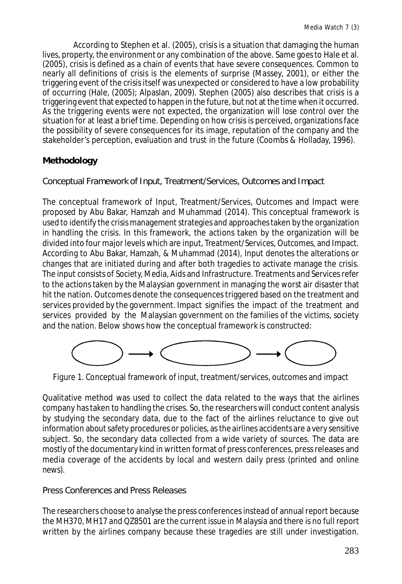According to Stephen et al. (2005), crisis is a situation that damaging the human lives, property, the environment or any combination of the above. Same goes to Hale et al. (2005), crisis is defined as a chain of events that have severe consequences. Common to nearly all definitions of crisis is the elements of surprise (Massey, 2001), or either the triggering event of the crisis itself was unexpected or considered to have a low probability of occurring (Hale, (2005); Alpaslan, 2009). Stephen (2005) also describes that crisis is a triggering event that expected to happen in the future, but not at the time when it occurred. As the triggering events were not expected, the organization will lose control over the situation for at least a brief time. Depending on how crisis is perceived, organizations face the possibility of severe consequences for its image, reputation of the company and the stakeholder's perception, evaluation and trust in the future (Coombs & Holladay, 1996).

### **Methodology**

Conceptual Framework of Input, Treatment/Services, Outcomes and Impact

The conceptual framework of Input, Treatment/Services, Outcomes and Impact were proposed by Abu Bakar, Hamzah and Muhammad (2014). This conceptual framework is used to identify the crisis management strategies and approaches taken by the organization in handling the crisis. In this framework, the actions taken by the organization will be divided into four major levels which are input, Treatment/Services, Outcomes, and Impact. According to Abu Bakar, Hamzah, & Muhammad (2014), Input denotes the alterations or changes that are initiated during and after both tragedies to activate manage the crisis. The input consists of Society, Media, Aids and Infrastructure. Treatments and Services refer to the actions taken by the Malaysian government in managing the worst air disaster that hit the nation. Outcomes denote the consequences triggered based on the treatment and services provided by the government. Impact signifies the impact of the treatment and services provided by the Malaysian government on the families of the victims, society and the nation. Below shows how the conceptual framework is constructed:



Figure 1. Conceptual framework of input, treatment/services, outcomes and impact

Qualitative method was used to collect the data related to the ways that the airlines company has taken to handling the crises. So, the researchers will conduct content analysis by studying the secondary data, due to the fact of the airlines reluctance to give out information about safety procedures or policies, as the airlines accidents are a very sensitive subject. So, the secondary data collected from a wide variety of sources. The data are mostly of the documentary kind in written format of press conferences, press releases and media coverage of the accidents by local and western daily press (printed and online news).

### Press Conferences and Press Releases

The researchers choose to analyse the press conferences instead of annual report because the MH370, MH17 and QZ8501 are the current issue in Malaysia and there is no full report written by the airlines company because these tragedies are still under investigation.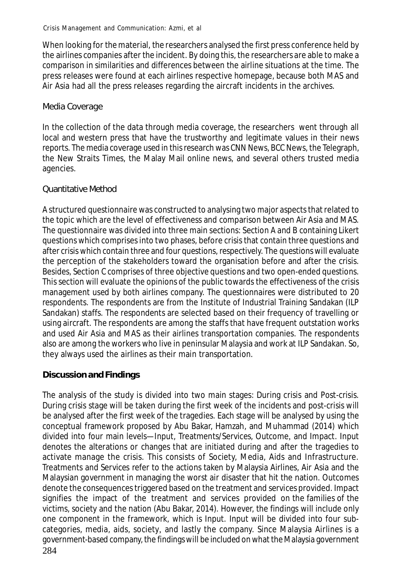When looking for the material, the researchers analysed the first press conference held by the airlines companies after the incident. By doing this, the researchers are able to make a comparison in similarities and differences between the airline situations at the time. The press releases were found at each airlines respective homepage, because both MAS and Air Asia had all the press releases regarding the aircraft incidents in the archives.

### Media Coverage

In the collection of the data through media coverage, the researchers went through all local and western press that have the trustworthy and legitimate values in their news reports. The media coverage used in this research was CNN News, BCC News, the Telegraph, the New Straits Times, the Malay Mail online news, and several others trusted media agencies.

### Quantitative Method

A structured questionnaire was constructed to analysing two major aspects that related to the topic which are the level of effectiveness and comparison between Air Asia and MAS. The questionnaire was divided into three main sections: Section A and B containing Likert questions which comprises into two phases, before crisis that contain three questions and after crisis which contain three and four questions, respectively. The questions will evaluate the perception of the stakeholders toward the organisation before and after the crisis. Besides, Section C comprises of three objective questions and two open-ended questions. This section will evaluate the opinions of the public towards the effectiveness of the crisis management used by both airlines company. The questionnaires were distributed to 20 respondents. The respondents are from the Institute of Industrial Training Sandakan (ILP Sandakan) staffs. The respondents are selected based on their frequency of travelling or using aircraft. The respondents are among the staffs that have frequent outstation works and used Air Asia and MAS as their airlines transportation companies. The respondents also are among the workers who live in peninsular Malaysia and work at ILP Sandakan. So, they always used the airlines as their main transportation.

## **Discussion and Findings**

284 The analysis of the study is divided into two main stages: During crisis and Post-crisis. During crisis stage will be taken during the first week of the incidents and post-crisis will be analysed after the first week of the tragedies. Each stage will be analysed by using the conceptual framework proposed by Abu Bakar, Hamzah, and Muhammad (2014) which divided into four main levels—Input, Treatments/Services, Outcome, and Impact. Input denotes the alterations or changes that are initiated during and after the tragedies to activate manage the crisis. This consists of Society, Media, Aids and Infrastructure. Treatments and Services refer to the actions taken by Malaysia Airlines, Air Asia and the Malaysian government in managing the worst air disaster that hit the nation. Outcomes denote the consequences triggered based on the treatment and services provided. Impact signifies the impact of the treatment and services provided on the families of the victims, society and the nation (Abu Bakar, 2014). However, the findings will include only one component in the framework, which is Input. Input will be divided into four subcategories, media, aids, society, and lastly the company. Since Malaysia Airlines is a government-based company, the findings will be included on what the Malaysia government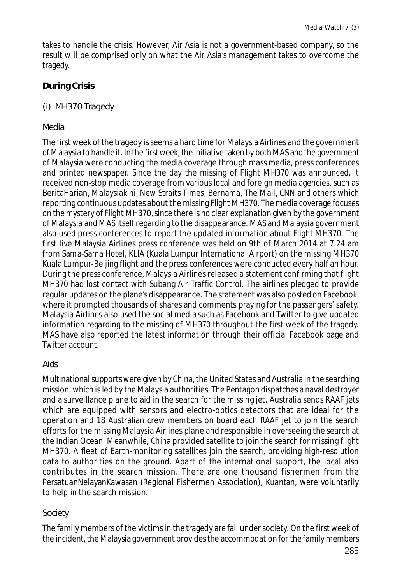takes to handle the crisis. However, Air Asia is not a government-based company, so the result will be comprised only on what the Air Asia's management takes to overcome the tragedy.

### **During Crisis**

### (i) MH370 Tragedy

### *Media*

The first week of the tragedy is seems a hard time for Malaysia Airlines and the government of Malaysia to handle it. In the first week, the initiative taken by both MAS and the government of Malaysia were conducting the media coverage through mass media, press conferences and printed newspaper. Since the day the missing of Flight MH370 was announced, it received non-stop media coverage from various local and foreign media agencies, such as BeritaHarian, Malaysiakini, New Straits Times, Bernama, The Mail, CNN and others which reporting continuous updates about the missing Flight MH370. The media coverage focuses on the mystery of Flight MH370, since there is no clear explanation given by the government of Malaysia and MAS itself regarding to the disappearance. MAS and Malaysia government also used press conferences to report the updated information about Flight MH370. The first live Malaysia Airlines press conference was held on 9th of March 2014 at 7.24 am from Sama-Sama Hotel, KLIA (Kuala Lumpur International Airport) on the missing MH370 Kuala Lumpur-Beijing flight and the press conferences were conducted every half an hour. During the press conference, Malaysia Airlines released a statement confirming that flight MH370 had lost contact with Subang Air Traffic Control. The airlines pledged to provide regular updates on the plane's disappearance. The statement was also posted on Facebook, where it prompted thousands of shares and comments praying for the passengers' safety. Malaysia Airlines also used the social media such as Facebook and Twitter to give updated information regarding to the missing of MH370 throughout the first week of the tragedy. MAS have also reported the latest information through their official Facebook page and Twitter account.

### *Aids*

Multinational supports were given by China, the United States and Australia in the searching mission, which is led by the Malaysia authorities. The Pentagon dispatches a naval destroyer and a surveillance plane to aid in the search for the missing jet. Australia sends RAAF jets which are equipped with sensors and electro-optics detectors that are ideal for the operation and 18 Australian crew members on board each RAAF jet to join the search efforts for the missing Malaysia Airlines plane and responsible in overseeing the search at the Indian Ocean. Meanwhile, China provided satellite to join the search for missing flight MH370. A fleet of Earth-monitoring satellites join the search, providing high-resolution data to authorities on the ground. Apart of the international support, the local also contributes in the search mission. There are one thousand fishermen from the PersatuanNelayanKawasan (Regional Fishermen Association), Kuantan, were voluntarily to help in the search mission.

### *Society*

The family members of the victims in the tragedy are fall under society. On the first week of the incident, the Malaysia government provides the accommodation for the family members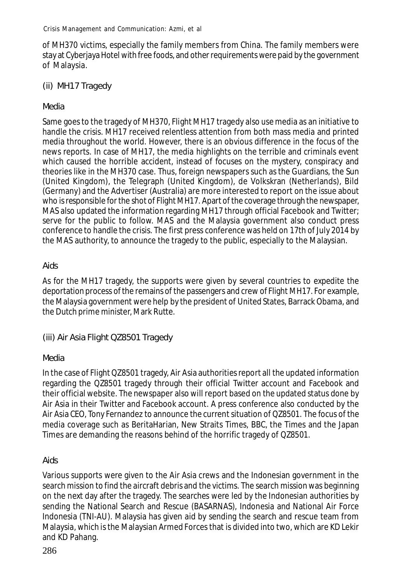of MH370 victims, especially the family members from China. The family members were stay at Cyberjaya Hotel with free foods, and other requirements were paid by the government of Malaysia.

### (ii) MH17 Tragedy

### *Media*

Same goes to the tragedy of MH370, Flight MH17 tragedy also use media as an initiative to handle the crisis. MH17 received relentless attention from both mass media and printed media throughout the world. However, there is an obvious difference in the focus of the news reports. In case of MH17, the media highlights on the terrible and criminals event which caused the horrible accident, instead of focuses on the mystery, conspiracy and theories like in the MH370 case. Thus, foreign newspapers such as the Guardians, the Sun (United Kingdom), the Telegraph (United Kingdom), de Volkskran (Netherlands), Bild (Germany) and the Advertiser (Australia) are more interested to report on the issue about who is responsible for the shot of Flight MH17. Apart of the coverage through the newspaper, MAS also updated the information regarding MH17 through official Facebook and Twitter; serve for the public to follow. MAS and the Malaysia government also conduct press conference to handle the crisis. The first press conference was held on 17th of July 2014 by the MAS authority, to announce the tragedy to the public, especially to the Malaysian.

### *Aids*

As for the MH17 tragedy, the supports were given by several countries to expedite the deportation process of the remains of the passengers and crew of Flight MH17. For example, the Malaysia government were help by the president of United States, Barrack Obama, and the Dutch prime minister, Mark Rutte.

(iii) Air Asia Flight QZ8501 Tragedy

### *Media*

In the case of Flight QZ8501 tragedy, Air Asia authorities report all the updated information regarding the QZ8501 tragedy through their official Twitter account and Facebook and their official website. The newspaper also will report based on the updated status done by Air Asia in their Twitter and Facebook account. A press conference also conducted by the Air Asia CEO, Tony Fernandez to announce the current situation of QZ8501. The focus of the media coverage such as BeritaHarian, New Straits Times, BBC, the Times and the Japan Times are demanding the reasons behind of the horrific tragedy of QZ8501.

### *Aids*

Various supports were given to the Air Asia crews and the Indonesian government in the search mission to find the aircraft debris and the victims. The search mission was beginning on the next day after the tragedy. The searches were led by the Indonesian authorities by sending the National Search and Rescue (BASARNAS), Indonesia and National Air Force Indonesia (TNI-AU). Malaysia has given aid by sending the search and rescue team from Malaysia, which is the Malaysian Armed Forces that is divided into two, which are KD Lekir and KD Pahang.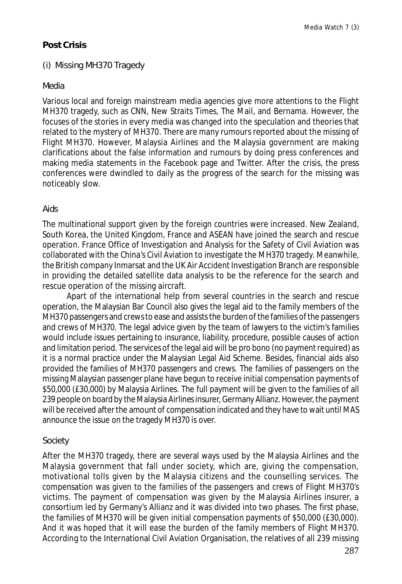### **Post Crisis**

#### (i) Missing MH370 Tragedy

#### *Media*

Various local and foreign mainstream media agencies give more attentions to the Flight MH370 tragedy, such as CNN, New Straits Times, The Mail, and Bernama. However, the focuses of the stories in every media was changed into the speculation and theories that related to the mystery of MH370. There are many rumours reported about the missing of Flight MH370. However, Malaysia Airlines and the Malaysia government are making clarifications about the false information and rumours by doing press conferences and making media statements in the Facebook page and Twitter. After the crisis, the press conferences were dwindled to daily as the progress of the search for the missing was noticeably slow.

#### *Aids*

The multinational support given by the foreign countries were increased. New Zealand, South Korea, the United Kingdom, France and ASEAN have joined the search and rescue operation. France Office of Investigation and Analysis for the Safety of Civil Aviation was collaborated with the China's Civil Aviation to investigate the MH370 tragedy. Meanwhile, the British company Inmarsat and the UK Air Accident Investigation Branch are responsible in providing the detailed satellite data analysis to be the reference for the search and rescue operation of the missing aircraft.

Apart of the international help from several countries in the search and rescue operation, the Malaysian Bar Council also gives the legal aid to the family members of the MH370 passengers and crews to ease and assists the burden of the families of the passengers and crews of MH370. The legal advice given by the team of lawyers to the victim's families would include issues pertaining to insurance, liability, procedure, possible causes of action and limitation period. The services of the legal aid will be pro bono (no payment required) as it is a normal practice under the Malaysian Legal Aid Scheme. Besides, financial aids also provided the families of MH370 passengers and crews. The families of passengers on the missing Malaysian passenger plane have begun to receive initial compensation payments of \$50,000 (£30,000) by Malaysia Airlines. The full payment will be given to the families of all 239 people on board by the Malaysia Airlines insurer, Germany Allianz. However, the payment will be received after the amount of compensation indicated and they have to wait until MAS announce the issue on the tragedy MH370 is over.

#### *Society*

After the MH370 tragedy, there are several ways used by the Malaysia Airlines and the Malaysia government that fall under society, which are, giving the compensation, motivational tolls given by the Malaysia citizens and the counselling services. The compensation was given to the families of the passengers and crews of Flight MH370's victims. The payment of compensation was given by the Malaysia Airlines insurer, a consortium led by Germany's Allianz and it was divided into two phases. The first phase, the families of MH370 will be given initial compensation payments of \$50,000 (£30,000). And it was hoped that it will ease the burden of the family members of Flight MH370. According to the International Civil Aviation Organisation, the relatives of all 239 missing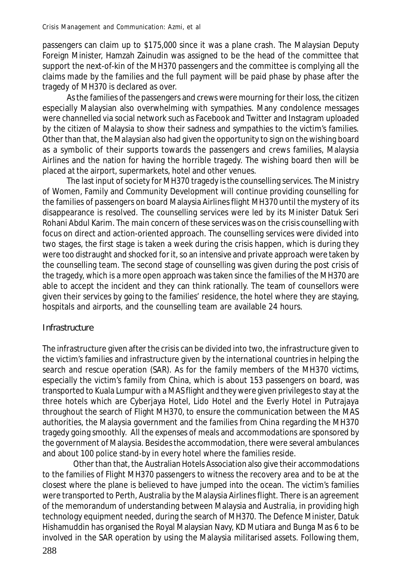passengers can claim up to \$175,000 since it was a plane crash. The Malaysian Deputy Foreign Minister, Hamzah Zainudin was assigned to be the head of the committee that support the next-of-kin of the MH370 passengers and the committee is complying all the claims made by the families and the full payment will be paid phase by phase after the tragedy of MH370 is declared as over.

As the families of the passengers and crews were mourning for their loss, the citizen especially Malaysian also overwhelming with sympathies. Many condolence messages were channelled via social network such as Facebook and Twitter and Instagram uploaded by the citizen of Malaysia to show their sadness and sympathies to the victim's families. Other than that, the Malaysian also had given the opportunity to sign on the wishing board as a symbolic of their supports towards the passengers and crews families, Malaysia Airlines and the nation for having the horrible tragedy. The wishing board then will be placed at the airport, supermarkets, hotel and other venues.

The last input of society for MH370 tragedy is the counselling services. The Ministry of Women, Family and Community Development will continue providing counselling for the families of passengers on board Malaysia Airlines flight MH370 until the mystery of its disappearance is resolved. The counselling services were led by its Minister Datuk Seri Rohani Abdul Karim. The main concern of these services was on the crisis counselling with focus on direct and action-oriented approach. The counselling services were divided into two stages, the first stage is taken a week during the crisis happen, which is during they were too distraught and shocked for it, so an intensive and private approach were taken by the counselling team. The second stage of counselling was given during the post crisis of the tragedy, which is a more open approach was taken since the families of the MH370 are able to accept the incident and they can think rationally. The team of counsellors were given their services by going to the families' residence, the hotel where they are staying, hospitals and airports, and the counselling team are available 24 hours.

### **Infrastructure**

The infrastructure given after the crisis can be divided into two, the infrastructure given to the victim's families and infrastructure given by the international countries in helping the search and rescue operation (SAR). As for the family members of the MH370 victims, especially the victim's family from China, which is about 153 passengers on board, was transported to Kuala Lumpur with a MAS flight and they were given privileges to stay at the three hotels which are Cyberjaya Hotel, Lido Hotel and the Everly Hotel in Putrajaya throughout the search of Flight MH370, to ensure the communication between the MAS authorities, the Malaysia government and the families from China regarding the MH370 tragedy going smoothly. All the expenses of meals and accommodations are sponsored by the government of Malaysia. Besides the accommodation, there were several ambulances and about 100 police stand-by in every hotel where the families reside.

Other than that, the Australian Hotels Association also give their accommodations to the families of Flight MH370 passengers to witness the recovery area and to be at the closest where the plane is believed to have jumped into the ocean. The victim's families were transported to Perth, Australia by the Malaysia Airlines flight. There is an agreement of the memorandum of understanding between Malaysia and Australia, in providing high technology equipment needed, during the search of MH370. The Defence Minister, Datuk Hishamuddin has organised the Royal Malaysian Navy, KD Mutiara and Bunga Mas 6 to be involved in the SAR operation by using the Malaysia militarised assets. Following them,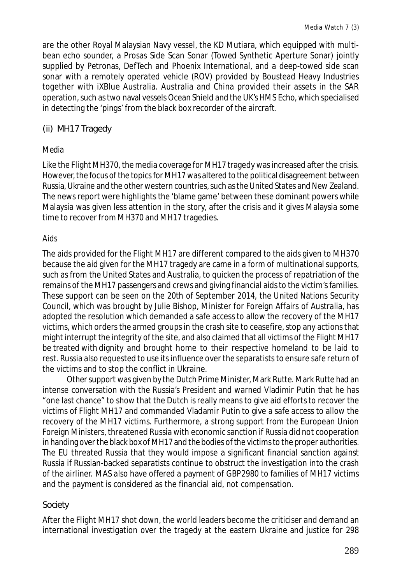are the other Royal Malaysian Navy vessel, the KD Mutiara, which equipped with multibean echo sounder, a Prosas Side Scan Sonar (Towed Synthetic Aperture Sonar) jointly supplied by Petronas, DefTech and Phoenix International, and a deep-towed side scan sonar with a remotely operated vehicle (ROV) provided by Boustead Heavy Industries together with iXBlue Australia. Australia and China provided their assets in the SAR operation, such as two naval vessels Ocean Shield and the UK's HMS Echo, which specialised in detecting the 'pings' from the black box recorder of the aircraft.

(ii) MH17 Tragedy

### *Media*

Like the Flight MH370, the media coverage for MH17 tragedy was increased after the crisis. However, the focus of the topics for MH17 was altered to the political disagreement between Russia, Ukraine and the other western countries, such as the United States and New Zealand. The news report were highlights the 'blame game' between these dominant powers while Malaysia was given less attention in the story, after the crisis and it gives Malaysia some time to recover from MH370 and MH17 tragedies.

### *Aids*

The aids provided for the Flight MH17 are different compared to the aids given to MH370 because the aid given for the MH17 tragedy are came in a form of multinational supports, such as from the United States and Australia, to quicken the process of repatriation of the remains of the MH17 passengers and crews and giving financial aids to the victim's families. These support can be seen on the 20th of September 2014, the United Nations Security Council, which was brought by Julie Bishop, Minister for Foreign Affairs of Australia, has adopted the resolution which demanded a safe access to allow the recovery of the MH17 victims, which orders the armed groups in the crash site to ceasefire, stop any actions that might interrupt the integrity of the site, and also claimed that all victims of the Flight MH17 be treated with dignity and brought home to their respective homeland to be laid to rest. Russia also requested to use its influence over the separatists to ensure safe return of the victims and to stop the conflict in Ukraine.

Other support was given by the Dutch Prime Minister, Mark Rutte. Mark Rutte had an intense conversation with the Russia's President and warned Vladimir Putin that he has "one last chance" to show that the Dutch is really means to give aid efforts to recover the victims of Flight MH17 and commanded Vladamir Putin to give a safe access to allow the recovery of the MH17 victims. Furthermore, a strong support from the European Union Foreign Ministers, threatened Russia with economic sanction if Russia did not cooperation in handing over the black box of MH17 and the bodies of the victims to the proper authorities. The EU threated Russia that they would impose a significant financial sanction against Russia if Russian-backed separatists continue to obstruct the investigation into the crash of the airliner. MAS also have offered a payment of GBP2980 to families of MH17 victims and the payment is considered as the financial aid, not compensation.

### *Society*

After the Flight MH17 shot down, the world leaders become the criticiser and demand an international investigation over the tragedy at the eastern Ukraine and justice for 298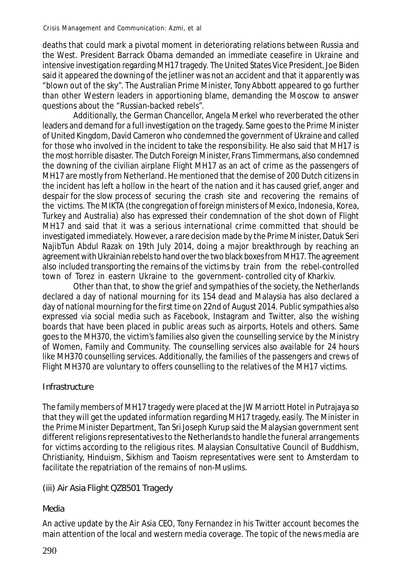deaths that could mark a pivotal moment in deteriorating relations between Russia and the West. President Barrack Obama demanded an immediate ceasefire in Ukraine and intensive investigation regarding MH17 tragedy. The United States Vice President, Joe Biden said it appeared the downing of the jetliner was not an accident and that it apparently was "blown out of the sky". The Australian Prime Minister, Tony Abbott appeared to go further than other Western leaders in apportioning blame, demanding the Moscow to answer questions about the "Russian-backed rebels".

Additionally, the German Chancellor, Angela Merkel who reverberated the other leaders and demand for a full investigation on the tragedy. Same goes to the Prime Minister of United Kingdom, David Cameron who condemned the government of Ukraine and called for those who involved in the incident to take the responsibility. He also said that MH17 is the most horrible disaster. The Dutch Foreign Minister, Frans Timmermans, also condemned the downing of the civilian airplane Flight MH17 as an act of crime as the passengers of MH17 are mostly from Netherland. He mentioned that the demise of 200 Dutch citizens in the incident has left a hollow in the heart of the nation and it has caused grief, anger and despair for the slow process of securing the crash site and recovering the remains of the victims. The MIKTA (the congregation of foreign ministers of Mexico, Indonesia, Korea, Turkey and Australia) also has expressed their condemnation of the shot down of Flight MH17 and said that it was a serious international crime committed that should be investigated immediately. However, a rare decision made by the Prime Minister, Datuk Seri NajibTun Abdul Razak on 19th July 2014, doing a major breakthrough by reaching an agreement with Ukrainian rebels to hand over the two black boxes from MH17. The agreement also included transporting the remains of the victims by train from the rebel-controlled town of Torez in eastern Ukraine to the government- controlled city of Kharkiv.

Other than that, to show the grief and sympathies of the society, the Netherlands declared a day of national mourning for its 154 dead and Malaysia has also declared a day of national mourning for the first time on 22nd of August 2014. Public sympathies also expressed via social media such as Facebook, Instagram and Twitter, also the wishing boards that have been placed in public areas such as airports, Hotels and others. Same goes to the MH370, the victim's families also given the counselling service by the Ministry of Women, Family and Community. The counselling services also available for 24 hours like MH370 counselling services. Additionally, the families of the passengers and crews of Flight MH370 are voluntary to offers counselling to the relatives of the MH17 victims.

### **Infrastructure**

The family members of MH17 tragedy were placed at the JW Marriott Hotel in Putrajaya so that they will get the updated information regarding MH17 tragedy, easily. The Minister in the Prime Minister Department, Tan Sri Joseph Kurup said the Malaysian government sent different religions representatives to the Netherlands to handle the funeral arrangements for victims according to the religious rites. Malaysian Consultative Council of Buddhism, Christianity, Hinduism, Sikhism and Taoism representatives were sent to Amsterdam to facilitate the repatriation of the remains of non-Muslims.

### (iii) Air Asia Flight QZ8501 Tragedy

# *Media*

An active update by the Air Asia CEO, Tony Fernandez in his Twitter account becomes the main attention of the local and western media coverage. The topic of the news media are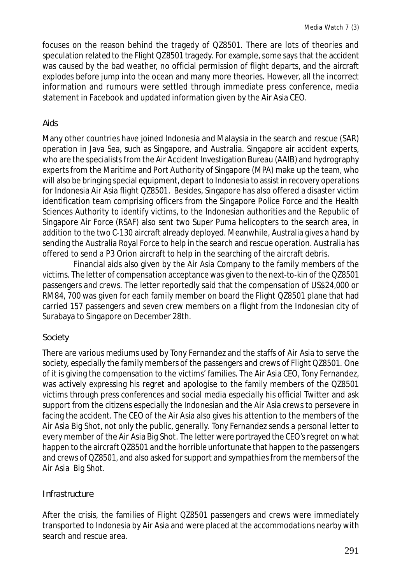focuses on the reason behind the tragedy of QZ8501. There are lots of theories and speculation related to the Flight QZ8501 tragedy. For example, some says that the accident was caused by the bad weather, no official permission of flight departs, and the aircraft explodes before jump into the ocean and many more theories. However, all the incorrect information and rumours were settled through immediate press conference, media statement in Facebook and updated information given by the Air Asia CEO.

### *Aids*

Many other countries have joined Indonesia and Malaysia in the search and rescue (SAR) operation in Java Sea, such as Singapore, and Australia. Singapore air accident experts, who are the specialists from the Air Accident Investigation Bureau (AAIB) and hydrography experts from the Maritime and Port Authority of Singapore (MPA) make up the team, who will also be bringing special equipment, depart to Indonesia to assist in recovery operations for Indonesia Air Asia flight QZ8501. Besides, Singapore has also offered a disaster victim identification team comprising officers from the Singapore Police Force and the Health Sciences Authority to identify victims, to the Indonesian authorities and the Republic of Singapore Air Force (RSAF) also sent two Super Puma helicopters to the search area, in addition to the two C-130 aircraft already deployed. Meanwhile, Australia gives a hand by sending the Australia Royal Force to help in the search and rescue operation. Australia has offered to send a P3 Orion aircraft to help in the searching of the aircraft debris.

Financial aids also given by the Air Asia Company to the family members of the victims. The letter of compensation acceptance was given to the next-to-kin of the QZ8501 passengers and crews. The letter reportedly said that the compensation of US\$24,000 or RM84, 700 was given for each family member on board the Flight QZ8501 plane that had carried 157 passengers and seven crew members on a flight from the Indonesian city of Surabaya to Singapore on December 28th.

### *Society*

There are various mediums used by Tony Fernandez and the staffs of Air Asia to serve the society, especially the family members of the passengers and crews of Flight QZ8501. One of it is giving the compensation to the victims' families. The Air Asia CEO, Tony Fernandez, was actively expressing his regret and apologise to the family members of the QZ8501 victims through press conferences and social media especially his official Twitter and ask support from the citizens especially the Indonesian and the Air Asia crews to persevere in facing the accident. The CEO of the Air Asia also gives his attention to the members of the Air Asia Big Shot, not only the public, generally. Tony Fernandez sends a personal letter to every member of the Air Asia Big Shot. The letter were portrayed the CEO's regret on what happen to the aircraft QZ8501 and the horrible unfortunate that happen to the passengers and crews of QZ8501, and also asked for support and sympathies from the members of the Air Asia Big Shot.

### **Infrastructure**

After the crisis, the families of Flight QZ8501 passengers and crews were immediately transported to Indonesia by Air Asia and were placed at the accommodations nearby with search and rescue area.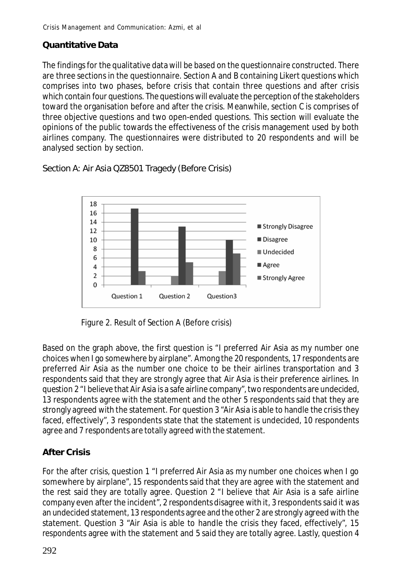# **Quantitative Data**

The findings for the qualitative data will be based on the questionnaire constructed. There are three sections in the questionnaire. Section A and B containing Likert questions which comprises into two phases, before crisis that contain three questions and after crisis which contain four questions. The questions will evaluate the perception of the stakeholders toward the organisation before and after the crisis. Meanwhile, section C is comprises of three objective questions and two open-ended questions. This section will evaluate the opinions of the public towards the effectiveness of the crisis management used by both airlines company. The questionnaires were distributed to 20 respondents and will be analysed section by section.

Section A: Air Asia QZ8501 Tragedy (Before Crisis)



Figure 2. Result of Section A (Before crisis)

Based on the graph above, the first question is "I preferred Air Asia as my number one choices when I go somewhere by airplane". Among the 20 respondents, 17 respondents are preferred Air Asia as the number one choice to be their airlines transportation and 3 respondents said that they are strongly agree that Air Asia is their preference airlines. In question 2 "I believe that Air Asia is a safe airline company", two respondents are undecided, 13 respondents agree with the statement and the other 5 respondents said that they are strongly agreed with the statement. For question 3 "Air Asia is able to handle the crisis they faced, effectively", 3 respondents state that the statement is undecided, 10 respondents agree and 7 respondents are totally agreed with the statement.

# **After Crisis**

For the after crisis, question 1 "I preferred Air Asia as my number one choices when I go somewhere by airplane", 15 respondents said that they are agree with the statement and the rest said they are totally agree. Question 2 "I believe that Air Asia is a safe airline company even after the incident", 2 respondents disagree with it, 3 respondents said it was an undecided statement, 13 respondents agree and the other 2 are strongly agreed with the statement. Question 3 "Air Asia is able to handle the crisis they faced, effectively", 15 respondents agree with the statement and 5 said they are totally agree. Lastly, question 4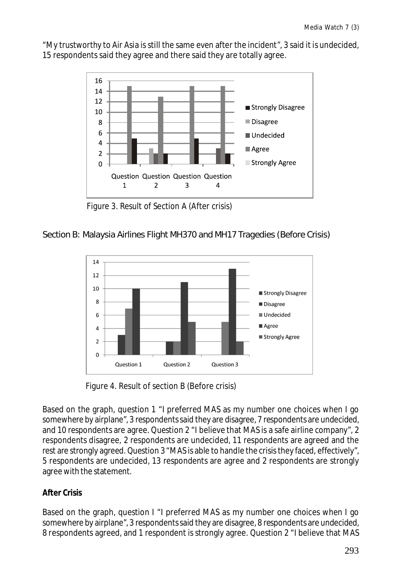"My trustworthy to Air Asia is still the same even after the incident", 3 said it is undecided, 15 respondents said they agree and there said they are totally agree.



Figure 3. Result of Section A (After crisis)

### Section B: Malaysia Airlines Flight MH370 and MH17 Tragedies (Before Crisis)



Figure 4. Result of section B (Before crisis)

Based on the graph, question 1 "I preferred MAS as my number one choices when I go somewhere by airplane", 3 respondents said they are disagree, 7 respondents are undecided, and 10 respondents are agree. Question 2 "I believe that MAS is a safe airline company", 2 respondents disagree, 2 respondents are undecided, 11 respondents are agreed and the rest are strongly agreed. Question 3 "MAS is able to handle the crisis they faced, effectively", 5 respondents are undecided, 13 respondents are agree and 2 respondents are strongly agree with the statement.

### **After Crisis**

Based on the graph, question I "I preferred MAS as my number one choices when I go somewhere by airplane", 3 respondents said they are disagree, 8 respondents are undecided, 8 respondents agreed, and 1 respondent is strongly agree. Question 2 "I believe that MAS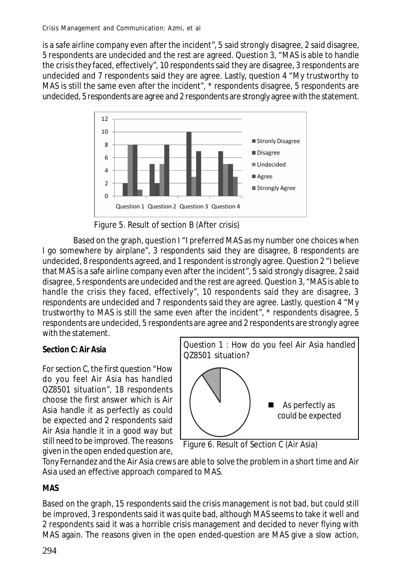is a safe airline company even after the incident", 5 said strongly disagree, 2 said disagree, 5 respondents are undecided and the rest are agreed. Question 3, "MAS is able to handle the crisis they faced, effectively", 10 respondents said they are disagree, 3 respondents are undecided and 7 respondents said they are agree. Lastly, question 4 "My trustworthy to MAS is still the same even after the incident", \* respondents disagree, 5 respondents are undecided, 5 respondents are agree and 2 respondents are strongly agree with the statement.



Figure 5. Result of section B (After crisis)

Based on the graph, question I "I preferred MAS as my number one choices when I go somewhere by airplane", 3 respondents said they are disagree, 8 respondents are undecided, 8 respondents agreed, and 1 respondent is strongly agree. Question 2 "I believe that MAS is a safe airline company even after the incident", 5 said strongly disagree, 2 said disagree, 5 respondents are undecided and the rest are agreed. Question 3, "MAS is able to handle the crisis they faced, effectively", 10 respondents said they are disagree, 3 respondents are undecided and 7 respondents said they are agree. Lastly, question 4 "My trustworthy to MAS is still the same even after the incident", \* respondents disagree, 5 respondents are undecided, 5 respondents are agree and 2 respondents are strongly agree with the statement.

### **Section C: Air Asia**

For section C, the first question "How do you feel Air Asia has handled QZ8501 situation", 18 respondents choose the first answer which is Air Asia handle it as perfectly as could be expected and 2 respondents said Air Asia handle it in a good way but still need to be improved. The reasons given in the open ended question are,



Figure 6. Result of Section C (Air Asia)

Tony Fernandez and the Air Asia crews are able to solve the problem in a short time and Air Asia used an effective approach compared to MAS.

**MAS**

Based on the graph, 15 respondents said the crisis management is not bad, but could still be improved, 3 respondents said it was quite bad, although MAS seems to take it well and 2 respondents said it was a horrible crisis management and decided to never flying with MAS again. The reasons given in the open ended-question are MAS give a slow action,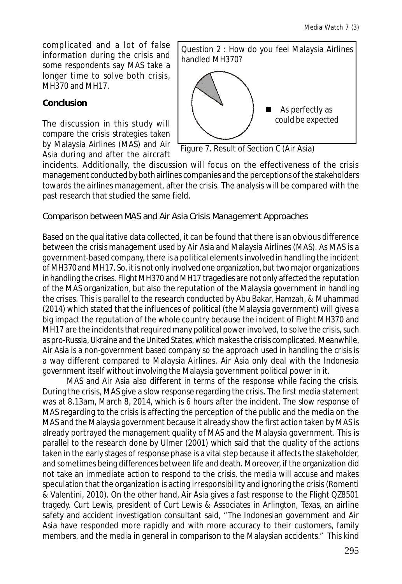complicated and a lot of false information during the crisis and some respondents say MAS take a longer time to solve both crisis, MH370 and MH17.

### **Conclusion**

The discussion in this study will compare the crisis strategies taken by Malaysia Airlines (MAS) and Air Asia during and after the aircraft



Figure 7. Result of Section C (Air Asia)

incidents. Additionally, the discussion will focus on the effectiveness of the crisis management conducted by both airlines companies and the perceptions of the stakeholders towards the airlines management, after the crisis. The analysis will be compared with the past research that studied the same field.

Comparison between MAS and Air Asia Crisis Management Approaches

Based on the qualitative data collected, it can be found that there is an obvious difference between the crisis management used by Air Asia and Malaysia Airlines (MAS). As MAS is a government-based company, there is a political elements involved in handling the incident of MH370 and MH17. So, it is not only involved one organization, but two major organizations in handling the crises. Flight MH370 and MH17 tragedies are not only affected the reputation of the MAS organization, but also the reputation of the Malaysia government in handling the crises. This is parallel to the research conducted by Abu Bakar, Hamzah, & Muhammad (2014) which stated that the influences of political (the Malaysia government) will gives a big impact the reputation of the whole country because the incident of Flight MH370 and MH17 are the incidents that required many political power involved, to solve the crisis, such as pro-Russia, Ukraine and the United States, which makes the crisis complicated. Meanwhile, Air Asia is a non-government based company so the approach used in handling the crisis is a way different compared to Malaysia Airlines. Air Asia only deal with the Indonesia government itself without involving the Malaysia government political power in it.

MAS and Air Asia also different in terms of the response while facing the crisis. During the crisis, MAS give a slow response regarding the crisis. The first media statement was at 8.13am, March 8, 2014, which is 6 hours after the incident. The slow response of MAS regarding to the crisis is affecting the perception of the public and the media on the MAS and the Malaysia government because it already show the first action taken by MAS is already portrayed the management quality of MAS and the Malaysia government. This is parallel to the research done by Ulmer (2001) which said that the quality of the actions taken in the early stages of response phase is a vital step because it affects the stakeholder, and sometimes being differences between life and death. Moreover, if the organization did not take an immediate action to respond to the crisis, the media will accuse and makes speculation that the organization is acting irresponsibility and ignoring the crisis (Romenti & Valentini, 2010). On the other hand, Air Asia gives a fast response to the Flight QZ8501 tragedy. Curt Lewis, president of Curt Lewis & Associates in Arlington, Texas, an airline safety and accident investigation consultant said, "The Indonesian government and Air Asia have responded more rapidly and with more accuracy to their customers, family members, and the media in general in comparison to the Malaysian accidents." This kind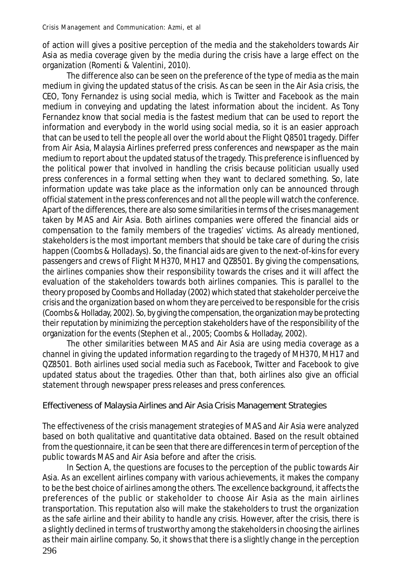of action will gives a positive perception of the media and the stakeholders towards Air Asia as media coverage given by the media during the crisis have a large effect on the organization (Romenti & Valentini, 2010).

The difference also can be seen on the preference of the type of media as the main medium in giving the updated status of the crisis. As can be seen in the Air Asia crisis, the CEO, Tony Fernandez is using social media, which is Twitter and Facebook as the main medium in conveying and updating the latest information about the incident. As Tony Fernandez know that social media is the fastest medium that can be used to report the information and everybody in the world using social media, so it is an easier approach that can be used to tell the people all over the world about the Flight Q8501 tragedy. Differ from Air Asia, Malaysia Airlines preferred press conferences and newspaper as the main medium to report about the updated status of the tragedy. This preference is influenced by the political power that involved in handling the crisis because politician usually used press conferences in a formal setting when they want to declared something. So, late information update was take place as the information only can be announced through official statement in the press conferences and not all the people will watch the conference. Apart of the differences, there are also some similarities in terms of the crises management taken by MAS and Air Asia. Both airlines companies were offered the financial aids or compensation to the family members of the tragedies' victims. As already mentioned, stakeholders is the most important members that should be take care of during the crisis happen (Coombs & Holladays). So, the financial aids are given to the next-of-kins for every passengers and crews of Flight MH370, MH17 and QZ8501. By giving the compensations, the airlines companies show their responsibility towards the crises and it will affect the evaluation of the stakeholders towards both airlines companies. This is parallel to the theory proposed by Coombs and Holladay (2002) which stated that stakeholder perceive the crisis and the organization based on whom they are perceived to be responsible for the crisis (Coombs & Holladay, 2002). So, by giving the compensation, the organization may be protecting their reputation by minimizing the perception stakeholders have of the responsibility of the organization for the events (Stephen et al., 2005; Coombs & Holladay, 2002).

The other similarities between MAS and Air Asia are using media coverage as a channel in giving the updated information regarding to the tragedy of MH370, MH17 and QZ8501. Both airlines used social media such as Facebook, Twitter and Facebook to give updated status about the tragedies. Other than that, both airlines also give an official statement through newspaper press releases and press conferences.

### Effectiveness of Malaysia Airlines and Air Asia Crisis Management Strategies

The effectiveness of the crisis management strategies of MAS and Air Asia were analyzed based on both qualitative and quantitative data obtained. Based on the result obtained from the questionnaire, it can be seen that there are differences in term of perception of the public towards MAS and Air Asia before and after the crisis.

296 In Section A, the questions are focuses to the perception of the public towards Air Asia. As an excellent airlines company with various achievements, it makes the company to be the best choice of airlines among the others. The excellence background, it affects the preferences of the public or stakeholder to choose Air Asia as the main airlines transportation. This reputation also will make the stakeholders to trust the organization as the safe airline and their ability to handle any crisis. However, after the crisis, there is a slightly declined in terms of trustworthy among the stakeholders in choosing the airlines as their main airline company. So, it shows that there is a slightly change in the perception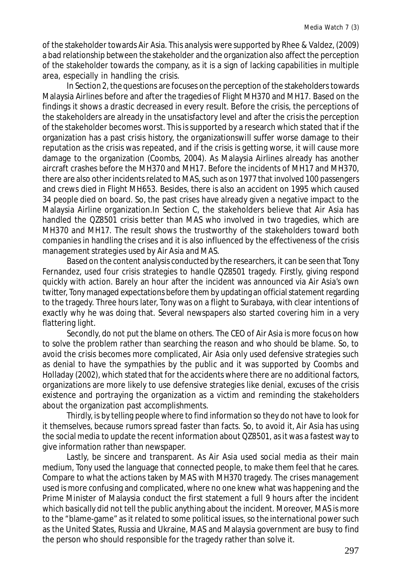of the stakeholder towards Air Asia. This analysis were supported by Rhee & Valdez, (2009) a bad relationship between the stakeholder and the organization also affect the perception of the stakeholder towards the company, as it is a sign of lacking capabilities in multiple area, especially in handling the crisis.

In Section 2, the questions are focuses on the perception of the stakeholders towards Malaysia Airlines before and after the tragedies of Flight MH370 and MH17. Based on the findings it shows a drastic decreased in every result. Before the crisis, the perceptions of the stakeholders are already in the unsatisfactory level and after the crisis the perception of the stakeholder becomes worst. This is supported by a research which stated that if the organization has a past crisis history, the organizationswill suffer worse damage to their reputation as the crisis was repeated, and if the crisis is getting worse, it will cause more damage to the organization (Coombs, 2004). As Malaysia Airlines already has another aircraft crashes before the MH370 and MH17. Before the incidents of MH17 and MH370, there are also other incidents related to MAS, such as on 1977 that involved 100 passengers and crews died in Flight MH653. Besides, there is also an accident on 1995 which caused 34 people died on board. So, the past crises have already given a negative impact to the Malaysia Airline organization.In Section C, the stakeholders believe that Air Asia has handled the QZ8501 crisis better than MAS who involved in two tragedies, which are MH370 and MH17. The result shows the trustworthy of the stakeholders toward both companies in handling the crises and it is also influenced by the effectiveness of the crisis management strategies used by Air Asia and MAS.

Based on the content analysis conducted by the researchers, it can be seen that Tony Fernandez, used four crisis strategies to handle QZ8501 tragedy. Firstly, giving respond quickly with action. Barely an hour after the incident was announced via Air Asia's own twitter, Tony managed expectations before them by updating an official statement regarding to the tragedy. Three hours later, Tony was on a flight to Surabaya, with clear intentions of exactly why he was doing that. Several newspapers also started covering him in a very flattering light.

Secondly, do not put the blame on others. The CEO of Air Asia is more focus on how to solve the problem rather than searching the reason and who should be blame. So, to avoid the crisis becomes more complicated, Air Asia only used defensive strategies such as denial to have the sympathies by the public and it was supported by Coombs and Holladay (2002), which stated that for the accidents where there are no additional factors, organizations are more likely to use defensive strategies like denial, excuses of the crisis existence and portraying the organization as a victim and reminding the stakeholders about the organization past accomplishments.

Thirdly, is by telling people where to find information so they do not have to look for it themselves, because rumors spread faster than facts. So, to avoid it, Air Asia has using the social media to update the recent information about QZ8501, as it was a fastest way to give information rather than newspaper.

Lastly, be sincere and transparent. As Air Asia used social media as their main medium, Tony used the language that connected people, to make them feel that he cares. Compare to what the actions taken by MAS with MH370 tragedy. The crises management used is more confusing and complicated, where no one knew what was happening and the Prime Minister of Malaysia conduct the first statement a full 9 hours after the incident which basically did not tell the public anything about the incident. Moreover, MAS is more to the "blame-game" as it related to some political issues, so the international power such as the United States, Russia and Ukraine, MAS and Malaysia government are busy to find the person who should responsible for the tragedy rather than solve it.